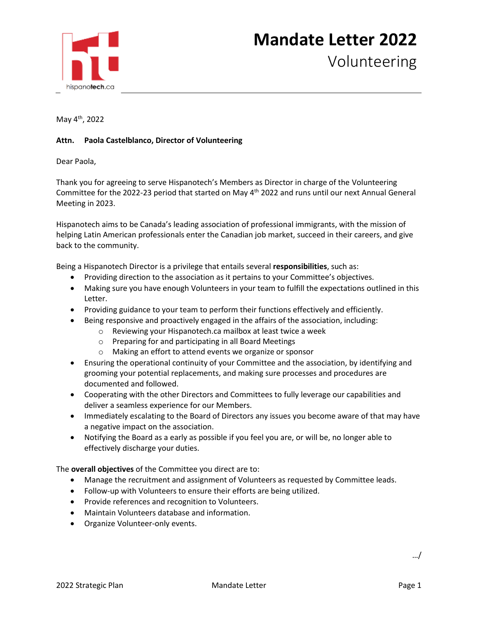

## **Mandate Letter 2022**

Volunteering

May 4th, 2022

## **Attn. Paola Castelblanco, Director of Volunteering**

Dear Paola,

Thank you for agreeing to serve Hispanotech's Members as Director in charge of the Volunteering Committee for the 2022-23 period that started on May 4<sup>th</sup> 2022 and runs until our next Annual General Meeting in 2023.

Hispanotech aims to be Canada's leading association of professional immigrants, with the mission of helping Latin American professionals enter the Canadian job market, succeed in their careers, and give back to the community.

Being a Hispanotech Director is a privilege that entails several **responsibilities**, such as:

- Providing direction to the association as it pertains to your Committee's objectives.
- Making sure you have enough Volunteers in your team to fulfill the expectations outlined in this Letter.
- Providing guidance to your team to perform their functions effectively and efficiently.
- Being responsive and proactively engaged in the affairs of the association, including:
	- o Reviewing your Hispanotech.ca mailbox at least twice a week
		- o Preparing for and participating in all Board Meetings
		- o Making an effort to attend events we organize or sponsor
- Ensuring the operational continuity of your Committee and the association, by identifying and grooming your potential replacements, and making sure processes and procedures are documented and followed.
- Cooperating with the other Directors and Committees to fully leverage our capabilities and deliver a seamless experience for our Members.
- Immediately escalating to the Board of Directors any issues you become aware of that may have a negative impact on the association.
- Notifying the Board as a early as possible if you feel you are, or will be, no longer able to effectively discharge your duties.

The **overall objectives** of the Committee you direct are to:

- Manage the recruitment and assignment of Volunteers as requested by Committee leads.
- Follow-up with Volunteers to ensure their efforts are being utilized.
- Provide references and recognition to Volunteers.
- Maintain Volunteers database and information.
- Organize Volunteer-only events.